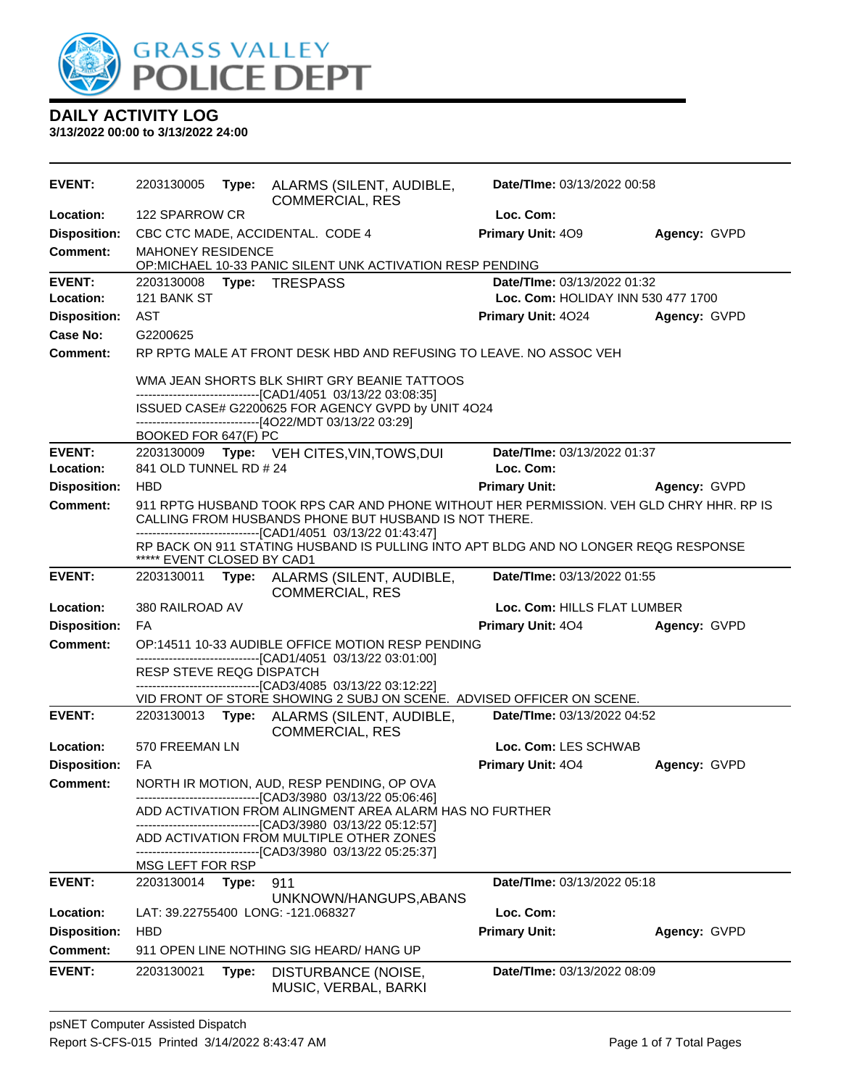

| <b>EVENT:</b>              | 2203130005                                  |       | Type: ALARMS (SILENT, AUDIBLE,<br><b>COMMERCIAL, RES</b>                                                                                            | Date/TIme: 03/13/2022 00:58                                       |              |  |
|----------------------------|---------------------------------------------|-------|-----------------------------------------------------------------------------------------------------------------------------------------------------|-------------------------------------------------------------------|--------------|--|
| <b>Location:</b>           | 122 SPARROW CR                              |       |                                                                                                                                                     | Loc. Com:                                                         |              |  |
| <b>Disposition:</b>        |                                             |       | CBC CTC MADE, ACCIDENTAL. CODE 4                                                                                                                    | Primary Unit: 409                                                 | Agency: GVPD |  |
| Comment:                   | <b>MAHONEY RESIDENCE</b>                    |       | OP:MICHAEL 10-33 PANIC SILENT UNK ACTIVATION RESP PENDING                                                                                           |                                                                   |              |  |
| <b>EVENT:</b><br>Location: | Type: TRESPASS<br>2203130008<br>121 BANK ST |       |                                                                                                                                                     | Date/TIme: 03/13/2022 01:32<br>Loc. Com: HOLIDAY INN 530 477 1700 |              |  |
| <b>Disposition:</b>        | AST                                         |       |                                                                                                                                                     | <b>Primary Unit: 4024</b>                                         | Agency: GVPD |  |
| Case No:                   | G2200625                                    |       |                                                                                                                                                     |                                                                   |              |  |
| <b>Comment:</b>            |                                             |       | RP RPTG MALE AT FRONT DESK HBD AND REFUSING TO LEAVE. NO ASSOC VEH                                                                                  |                                                                   |              |  |
|                            |                                             |       | WMA JEAN SHORTS BLK SHIRT GRY BEANIE TATTOOS                                                                                                        |                                                                   |              |  |
|                            |                                             |       | -------------------------------[CAD1/4051 03/13/22 03:08:35]<br>ISSUED CASE# G2200625 FOR AGENCY GVPD by UNIT 4O24                                  |                                                                   |              |  |
|                            |                                             |       | -------------------------------[4O22/MDT 03/13/22 03:29]                                                                                            |                                                                   |              |  |
| <b>EVENT:</b>              | BOOKED FOR 647(F) PC                        |       | 2203130009 Type: VEH CITES, VIN, TOWS, DUI                                                                                                          | Date/TIme: 03/13/2022 01:37                                       |              |  |
| Location:                  | 841 OLD TUNNEL RD # 24                      |       |                                                                                                                                                     | Loc. Com:                                                         |              |  |
| <b>Disposition:</b>        | <b>HBD</b>                                  |       |                                                                                                                                                     | <b>Primary Unit:</b>                                              | Agency: GVPD |  |
| <b>Comment:</b>            |                                             |       | 911 RPTG HUSBAND TOOK RPS CAR AND PHONE WITHOUT HER PERMISSION. VEH GLD CHRY HHR. RP IS                                                             |                                                                   |              |  |
|                            |                                             |       | CALLING FROM HUSBANDS PHONE BUT HUSBAND IS NOT THERE.                                                                                               |                                                                   |              |  |
|                            | ***** EVENT CLOSED BY CAD1                  |       | -------------------------------[CAD1/4051 03/13/22 01:43:47]<br>RP BACK ON 911 STATING HUSBAND IS PULLING INTO APT BLDG AND NO LONGER REQG RESPONSE |                                                                   |              |  |
| <b>EVENT:</b>              |                                             |       | 2203130011 Type: ALARMS (SILENT, AUDIBLE,<br><b>COMMERCIAL, RES</b>                                                                                 | Date/TIme: 03/13/2022 01:55                                       |              |  |
| Location:                  | 380 RAILROAD AV                             |       |                                                                                                                                                     | Loc. Com: HILLS FLAT LUMBER                                       |              |  |
| <b>Disposition:</b>        | FA                                          |       |                                                                                                                                                     | Primary Unit: 404                                                 | Agency: GVPD |  |
| <b>Comment:</b>            |                                             |       | OP:14511 10-33 AUDIBLE OFFICE MOTION RESP PENDING                                                                                                   |                                                                   |              |  |
|                            | RESP STEVE REQG DISPATCH                    |       | ------------------------------[CAD1/4051 03/13/22 03:01:00]                                                                                         |                                                                   |              |  |
|                            |                                             |       | ---------------------[CAD3/4085 03/13/22 03:12:22]                                                                                                  |                                                                   |              |  |
| <b>EVENT:</b>              |                                             |       | VID FRONT OF STORE SHOWING 2 SUBJ ON SCENE. ADVISED OFFICER ON SCENE.                                                                               | Date/TIme: 03/13/2022 04:52                                       |              |  |
|                            | 2203130013                                  | Type: | ALARMS (SILENT, AUDIBLE,<br><b>COMMERCIAL, RES</b>                                                                                                  |                                                                   |              |  |
| Location:                  | 570 FREEMAN LN                              |       |                                                                                                                                                     | Loc. Com: LES SCHWAB                                              |              |  |
| <b>Disposition:</b>        | FA                                          |       |                                                                                                                                                     | Primary Unit: 404                                                 | Agency: GVPD |  |
| <b>Comment:</b>            |                                             |       | NORTH IR MOTION, AUD, RESP PENDING, OP OVA                                                                                                          |                                                                   |              |  |
|                            |                                             |       | -------------------------------[CAD3/3980 03/13/22 05:06:46]<br>ADD ACTIVATION FROM ALINGMENT AREA ALARM HAS NO FURTHER                             |                                                                   |              |  |
|                            |                                             |       | -------------------------------[CAD3/3980_03/13/22 05:12:57]<br>ADD ACTIVATION FROM MULTIPLE OTHER ZONES                                            |                                                                   |              |  |
|                            | MSG LEFT FOR RSP                            |       | -------------------------------[CAD3/3980_03/13/22 05:25:37]                                                                                        |                                                                   |              |  |
| <b>EVENT:</b>              | 2203130014                                  | Type: | 911                                                                                                                                                 | Date/TIme: 03/13/2022 05:18                                       |              |  |
|                            |                                             |       | UNKNOWN/HANGUPS, ABANS                                                                                                                              |                                                                   |              |  |
| Location:                  |                                             |       | LAT: 39.22755400 LONG: -121.068327                                                                                                                  | Loc. Com:                                                         |              |  |
| <b>Disposition:</b>        | <b>HBD</b>                                  |       |                                                                                                                                                     | <b>Primary Unit:</b>                                              | Agency: GVPD |  |
| <b>Comment:</b>            |                                             |       | 911 OPEN LINE NOTHING SIG HEARD/ HANG UP                                                                                                            |                                                                   |              |  |
| <b>EVENT:</b>              | 2203130021                                  | Type: | DISTURBANCE (NOISE,<br>MUSIC, VERBAL, BARKI                                                                                                         | Date/TIme: 03/13/2022 08:09                                       |              |  |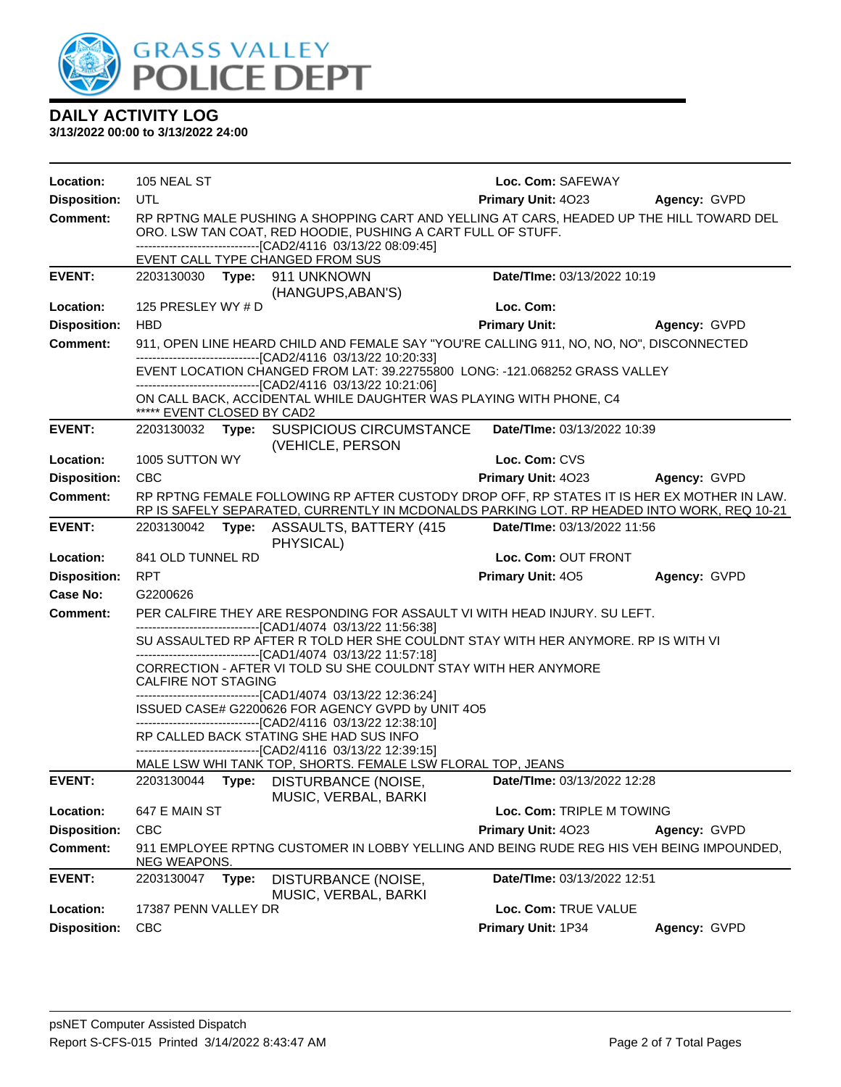

| Location:           | 105 NEAL ST                                                                                                     |       |                                                                                                                                                                                                                                                              | Loc. Com: SAFEWAY           |              |
|---------------------|-----------------------------------------------------------------------------------------------------------------|-------|--------------------------------------------------------------------------------------------------------------------------------------------------------------------------------------------------------------------------------------------------------------|-----------------------------|--------------|
| <b>Disposition:</b> | UTL                                                                                                             |       |                                                                                                                                                                                                                                                              | <b>Primary Unit: 4023</b>   | Agency: GVPD |
| <b>Comment:</b>     |                                                                                                                 |       | RP RPTNG MALE PUSHING A SHOPPING CART AND YELLING AT CARS, HEADED UP THE HILL TOWARD DEL<br>ORO. LSW TAN COAT, RED HOODIE, PUSHING A CART FULL OF STUFF.<br>-------------------------------[CAD2/4116 03/13/22 08:09:45]<br>EVENT CALL TYPE CHANGED FROM SUS |                             |              |
| <b>EVENT:</b>       |                                                                                                                 |       | 2203130030 Type: 911 UNKNOWN<br>(HANGUPS, ABAN'S)                                                                                                                                                                                                            | Date/TIme: 03/13/2022 10:19 |              |
| Location:           | 125 PRESLEY WY # D                                                                                              |       |                                                                                                                                                                                                                                                              | Loc. Com:                   |              |
| <b>Disposition:</b> | <b>HBD</b>                                                                                                      |       |                                                                                                                                                                                                                                                              | <b>Primary Unit:</b>        | Agency: GVPD |
| <b>Comment:</b>     |                                                                                                                 |       | 911, OPEN LINE HEARD CHILD AND FEMALE SAY "YOU'RE CALLING 911, NO, NO, NO", DISCONNECTED                                                                                                                                                                     |                             |              |
|                     |                                                                                                                 |       | -------------------------------[CAD2/4116 03/13/22 10:20:33]<br>EVENT LOCATION CHANGED FROM LAT: 39.22755800 LONG: -121.068252 GRASS VALLEY<br>---------------------------------[CAD2/4116_03/13/22_10:21:06]                                                |                             |              |
|                     | ***** EVENT CLOSED BY CAD2                                                                                      |       | ON CALL BACK, ACCIDENTAL WHILE DAUGHTER WAS PLAYING WITH PHONE, C4                                                                                                                                                                                           |                             |              |
| <b>EVENT:</b>       | 2203130032                                                                                                      |       | Type: SUSPICIOUS CIRCUMSTANCE<br>(VEHICLE, PERSON                                                                                                                                                                                                            | Date/TIme: 03/13/2022 10:39 |              |
| Location:           | 1005 SUTTON WY                                                                                                  |       |                                                                                                                                                                                                                                                              | Loc. Com: CVS               |              |
| <b>Disposition:</b> | <b>CBC</b>                                                                                                      |       |                                                                                                                                                                                                                                                              | <b>Primary Unit: 4023</b>   | Agency: GVPD |
| <b>Comment:</b>     |                                                                                                                 |       | RP RPTNG FEMALE FOLLOWING RP AFTER CUSTODY DROP OFF, RP STATES IT IS HER EX MOTHER IN LAW.<br>RP IS SAFELY SEPARATED, CURRENTLY IN MCDONALDS PARKING LOT. RP HEADED INTO WORK, REQ 10-21                                                                     |                             |              |
| <b>EVENT:</b>       |                                                                                                                 |       | 2203130042 Type: ASSAULTS, BATTERY (415<br>PHYSICAL)                                                                                                                                                                                                         | Date/TIme: 03/13/2022 11:56 |              |
| Location:           | 841 OLD TUNNEL RD                                                                                               |       |                                                                                                                                                                                                                                                              | Loc. Com: OUT FRONT         |              |
| <b>Disposition:</b> | <b>RPT</b>                                                                                                      |       |                                                                                                                                                                                                                                                              | <b>Primary Unit: 405</b>    | Agency: GVPD |
| Case No:            | G2200626                                                                                                        |       |                                                                                                                                                                                                                                                              |                             |              |
| <b>Comment:</b>     | PER CALFIRE THEY ARE RESPONDING FOR ASSAULT VI WITH HEAD INJURY. SU LEFT.                                       |       |                                                                                                                                                                                                                                                              |                             |              |
|                     |                                                                                                                 |       | -------------------------------[CAD1/4074 03/13/22 11:56:38]<br>SU ASSAULTED RP AFTER R TOLD HER SHE COULDNT STAY WITH HER ANYMORE. RP IS WITH VI<br>-------------------------------[CAD1/4074 03/13/22 11:57:18]                                            |                             |              |
|                     | CALFIRE NOT STAGING                                                                                             |       | CORRECTION - AFTER VI TOLD SU SHE COULDNT STAY WITH HER ANYMORE                                                                                                                                                                                              |                             |              |
|                     |                                                                                                                 |       | -------------------------------[CAD1/4074 03/13/22 12:36:24]<br>ISSUED CASE# G2200626 FOR AGENCY GVPD by UNIT 4O5<br>-------------------------------[CAD2/4116 03/13/22 12:38:10]                                                                            |                             |              |
|                     |                                                                                                                 |       | RP CALLED BACK STATING SHE HAD SUS INFO                                                                                                                                                                                                                      |                             |              |
|                     |                                                                                                                 |       | -------------------------------[CAD2/4116 03/13/22 12:39:15]<br>MALE LSW WHI TANK TOP, SHORTS. FEMALE LSW FLORAL TOP, JEANS                                                                                                                                  |                             |              |
| <b>EVENT:</b>       |                                                                                                                 |       | 2203130044 Type: DISTURBANCE (NOISE,<br>MUSIC, VERBAL, BARKI                                                                                                                                                                                                 | Date/TIme: 03/13/2022 12:28 |              |
| Location:           | 647 E MAIN ST                                                                                                   |       |                                                                                                                                                                                                                                                              | Loc. Com: TRIPLE M TOWING   |              |
| <b>Disposition:</b> | <b>CBC</b>                                                                                                      |       |                                                                                                                                                                                                                                                              | Primary Unit: 4023          | Agency: GVPD |
| Comment:            | 911 EMPLOYEE RPTNG CUSTOMER IN LOBBY YELLING AND BEING RUDE REG HIS VEH BEING IMPOUNDED,<br><u>NEG WEAPONS.</u> |       |                                                                                                                                                                                                                                                              |                             |              |
| <b>EVENT:</b>       | 2203130047                                                                                                      | Type: | DISTURBANCE (NOISE,<br>MUSIC, VERBAL, BARKI                                                                                                                                                                                                                  | Date/TIme: 03/13/2022 12:51 |              |
| Location:           | 17387 PENN VALLEY DR                                                                                            |       |                                                                                                                                                                                                                                                              | Loc. Com: TRUE VALUE        |              |
| <b>Disposition:</b> | <b>CBC</b>                                                                                                      |       |                                                                                                                                                                                                                                                              | Primary Unit: 1P34          | Agency: GVPD |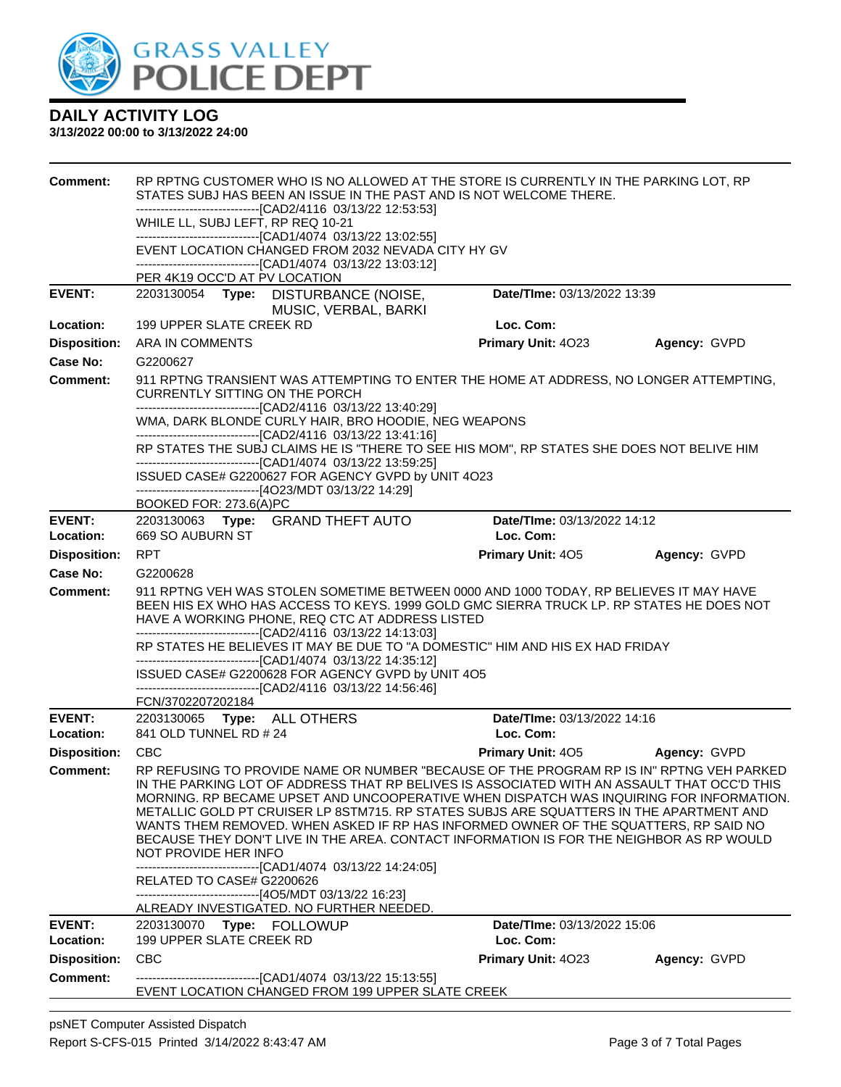

| <b>Comment:</b>     | RP RPTNG CUSTOMER WHO IS NO ALLOWED AT THE STORE IS CURRENTLY IN THE PARKING LOT, RP<br>STATES SUBJ HAS BEEN AN ISSUE IN THE PAST AND IS NOT WELCOME THERE.                                                                                                                                                                                                                                                                                                                                                                                                                               |                             |              |  |  |  |
|---------------------|-------------------------------------------------------------------------------------------------------------------------------------------------------------------------------------------------------------------------------------------------------------------------------------------------------------------------------------------------------------------------------------------------------------------------------------------------------------------------------------------------------------------------------------------------------------------------------------------|-----------------------------|--------------|--|--|--|
|                     | -------------------------------[CAD2/4116 03/13/22 12:53:53]                                                                                                                                                                                                                                                                                                                                                                                                                                                                                                                              |                             |              |  |  |  |
|                     | WHILE LL, SUBJ LEFT, RP REQ 10-21                                                                                                                                                                                                                                                                                                                                                                                                                                                                                                                                                         |                             |              |  |  |  |
|                     | ------------------------------[CAD1/4074 03/13/22 13:02:55]<br>EVENT LOCATION CHANGED FROM 2032 NEVADA CITY HY GV                                                                                                                                                                                                                                                                                                                                                                                                                                                                         |                             |              |  |  |  |
|                     | ------------------------[CAD1/4074_03/13/22 13:03:12]                                                                                                                                                                                                                                                                                                                                                                                                                                                                                                                                     |                             |              |  |  |  |
|                     | PER 4K19 OCC'D AT PV LOCATION                                                                                                                                                                                                                                                                                                                                                                                                                                                                                                                                                             |                             |              |  |  |  |
| <b>EVENT:</b>       | 2203130054 Type: DISTURBANCE (NOISE,                                                                                                                                                                                                                                                                                                                                                                                                                                                                                                                                                      | Date/TIme: 03/13/2022 13:39 |              |  |  |  |
|                     | MUSIC, VERBAL, BARKI                                                                                                                                                                                                                                                                                                                                                                                                                                                                                                                                                                      |                             |              |  |  |  |
| Location:           | 199 UPPER SLATE CREEK RD                                                                                                                                                                                                                                                                                                                                                                                                                                                                                                                                                                  | Loc. Com:                   |              |  |  |  |
| <b>Disposition:</b> | ARA IN COMMENTS                                                                                                                                                                                                                                                                                                                                                                                                                                                                                                                                                                           | Primary Unit: 4023          | Agency: GVPD |  |  |  |
| Case No:            | G2200627                                                                                                                                                                                                                                                                                                                                                                                                                                                                                                                                                                                  |                             |              |  |  |  |
| <b>Comment:</b>     | 911 RPTNG TRANSIENT WAS ATTEMPTING TO ENTER THE HOME AT ADDRESS, NO LONGER ATTEMPTING,<br><b>CURRENTLY SITTING ON THE PORCH</b>                                                                                                                                                                                                                                                                                                                                                                                                                                                           |                             |              |  |  |  |
|                     | -------------------------------[CAD2/4116 03/13/22 13:40:29]                                                                                                                                                                                                                                                                                                                                                                                                                                                                                                                              |                             |              |  |  |  |
|                     | WMA, DARK BLONDE CURLY HAIR, BRO HOODIE, NEG WEAPONS                                                                                                                                                                                                                                                                                                                                                                                                                                                                                                                                      |                             |              |  |  |  |
|                     | -------------------------------[CAD2/4116 03/13/22 13:41:16]<br>RP STATES THE SUBJ CLAIMS HE IS "THERE TO SEE HIS MOM", RP STATES SHE DOES NOT BELIVE HIM<br>-------------------------------[CAD1/4074_03/13/22 13:59:25]                                                                                                                                                                                                                                                                                                                                                                 |                             |              |  |  |  |
|                     | ISSUED CASE# G2200627 FOR AGENCY GVPD by UNIT 4O23                                                                                                                                                                                                                                                                                                                                                                                                                                                                                                                                        |                             |              |  |  |  |
|                     | -------------------------------[4O23/MDT 03/13/22 14:29]<br>BOOKED FOR: 273.6(A)PC                                                                                                                                                                                                                                                                                                                                                                                                                                                                                                        |                             |              |  |  |  |
| <b>EVENT:</b>       | 2203130063 Type: GRAND THEFT AUTO                                                                                                                                                                                                                                                                                                                                                                                                                                                                                                                                                         | Date/TIme: 03/13/2022 14:12 |              |  |  |  |
| Location:           | 669 SO AUBURN ST                                                                                                                                                                                                                                                                                                                                                                                                                                                                                                                                                                          | Loc. Com:                   |              |  |  |  |
| <b>Disposition:</b> | <b>RPT</b>                                                                                                                                                                                                                                                                                                                                                                                                                                                                                                                                                                                | <b>Primary Unit: 405</b>    | Agency: GVPD |  |  |  |
| <b>Case No:</b>     | G2200628                                                                                                                                                                                                                                                                                                                                                                                                                                                                                                                                                                                  |                             |              |  |  |  |
| Comment:            | 911 RPTNG VEH WAS STOLEN SOMETIME BETWEEN 0000 AND 1000 TODAY, RP BELIEVES IT MAY HAVE<br>BEEN HIS EX WHO HAS ACCESS TO KEYS. 1999 GOLD GMC SIERRA TRUCK LP. RP STATES HE DOES NOT<br>HAVE A WORKING PHONE, REQ CTC AT ADDRESS LISTED<br>------------------------------[CAD2/4116 03/13/22 14:13:03]                                                                                                                                                                                                                                                                                      |                             |              |  |  |  |
|                     | RP STATES HE BELIEVES IT MAY BE DUE TO "A DOMESTIC" HIM AND HIS EX HAD FRIDAY                                                                                                                                                                                                                                                                                                                                                                                                                                                                                                             |                             |              |  |  |  |
|                     | -------------------------------[CAD1/4074 03/13/22 14:35:12]                                                                                                                                                                                                                                                                                                                                                                                                                                                                                                                              |                             |              |  |  |  |
|                     | ISSUED CASE# G2200628 FOR AGENCY GVPD by UNIT 4O5<br>-------------------------------[CAD2/4116 03/13/22 14:56:46]                                                                                                                                                                                                                                                                                                                                                                                                                                                                         |                             |              |  |  |  |
|                     | FCN/3702207202184                                                                                                                                                                                                                                                                                                                                                                                                                                                                                                                                                                         |                             |              |  |  |  |
| <b>EVENT:</b>       | 2203130065 Type: ALL OTHERS                                                                                                                                                                                                                                                                                                                                                                                                                                                                                                                                                               | Date/TIme: 03/13/2022 14:16 |              |  |  |  |
| Location:           | 841 OLD TUNNEL RD # 24                                                                                                                                                                                                                                                                                                                                                                                                                                                                                                                                                                    | Loc. Com:                   |              |  |  |  |
| <b>Disposition:</b> | <b>CBC</b>                                                                                                                                                                                                                                                                                                                                                                                                                                                                                                                                                                                | <b>Primary Unit: 405</b>    | Agency: GVPD |  |  |  |
| <b>Comment:</b>     | RP REFUSING TO PROVIDE NAME OR NUMBER "BECAUSE OF THE PROGRAM RP IS IN" RPTNG VEH PARKED<br>IN THE PARKING LOT OF ADDRESS THAT RP BELIVES IS ASSOCIATED WITH AN ASSAULT THAT OCC'D THIS<br>MORNING. RP BECAME UPSET AND UNCOOPERATIVE WHEN DISPATCH WAS INQUIRING FOR INFORMATION.<br>METALLIC GOLD PT CRUISER LP 8STM715. RP STATES SUBJS ARE SQUATTERS IN THE APARTMENT AND<br>WANTS THEM REMOVED. WHEN ASKED IF RP HAS INFORMED OWNER OF THE SQUATTERS, RP SAID NO<br>BECAUSE THEY DON'T LIVE IN THE AREA. CONTACT INFORMATION IS FOR THE NEIGHBOR AS RP WOULD<br>NOT PROVIDE HER INFO |                             |              |  |  |  |
|                     | --------------------------------[CAD1/4074_03/13/22 14:24:05]<br>RELATED TO CASE# G2200626<br>-------------------------------[4O5/MDT 03/13/22 16:23]<br>ALREADY INVESTIGATED. NO FURTHER NEEDED.                                                                                                                                                                                                                                                                                                                                                                                         |                             |              |  |  |  |
| <b>EVENT:</b>       | 2203130070 Type: FOLLOWUP                                                                                                                                                                                                                                                                                                                                                                                                                                                                                                                                                                 | Date/TIme: 03/13/2022 15:06 |              |  |  |  |
| Location:           | 199 UPPER SLATE CREEK RD                                                                                                                                                                                                                                                                                                                                                                                                                                                                                                                                                                  | Loc. Com:                   |              |  |  |  |
| <b>Disposition:</b> | <b>CBC</b>                                                                                                                                                                                                                                                                                                                                                                                                                                                                                                                                                                                | Primary Unit: 4023          | Agency: GVPD |  |  |  |
| <b>Comment:</b>     | --------------------------------[CAD1/4074_03/13/22 15:13:55]<br>EVENT LOCATION CHANGED FROM 199 UPPER SLATE CREEK                                                                                                                                                                                                                                                                                                                                                                                                                                                                        |                             |              |  |  |  |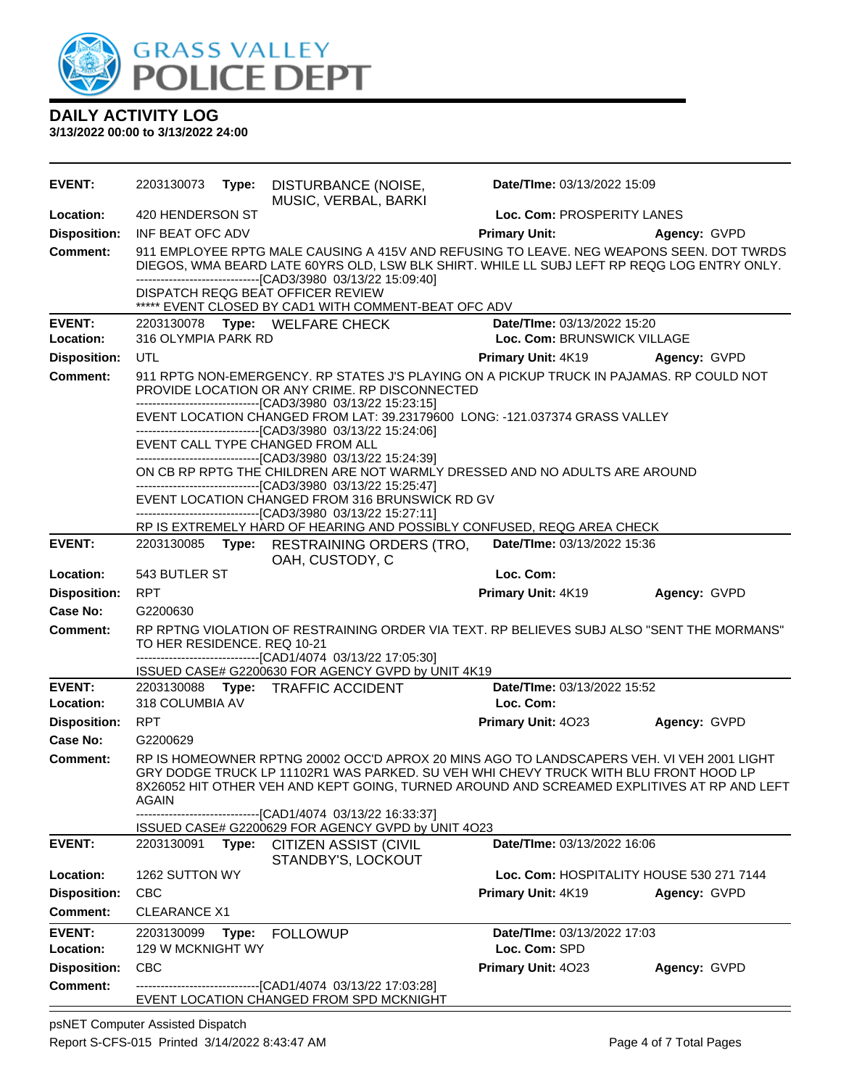

**3/13/2022 00:00 to 3/13/2022 24:00**

| EVENT:              | 2203130073                                                                                                                                                                                                  | Type: | DISTURBANCE (NOISE,<br>MUSIC, VERBAL, BARKI                                                                                                                                                                                                                                     | Date/TIme: 03/13/2022 15:09              |              |  |
|---------------------|-------------------------------------------------------------------------------------------------------------------------------------------------------------------------------------------------------------|-------|---------------------------------------------------------------------------------------------------------------------------------------------------------------------------------------------------------------------------------------------------------------------------------|------------------------------------------|--------------|--|
| Location:           | 420 HENDERSON ST                                                                                                                                                                                            |       |                                                                                                                                                                                                                                                                                 | Loc. Com: PROSPERITY LANES               |              |  |
| <b>Disposition:</b> | INF BEAT OFC ADV                                                                                                                                                                                            |       |                                                                                                                                                                                                                                                                                 | <b>Primary Unit:</b>                     | Agency: GVPD |  |
| <b>Comment:</b>     |                                                                                                                                                                                                             |       | 911 EMPLOYEE RPTG MALE CAUSING A 415V AND REFUSING TO LEAVE. NEG WEAPONS SEEN. DOT TWRDS<br>DIEGOS, WMA BEARD LATE 60YRS OLD, LSW BLK SHIRT. WHILE LL SUBJ LEFT RP REQG LOG ENTRY ONLY.<br>---------------------------------[CAD3/3980 03/13/22 15:09:40]                       |                                          |              |  |
|                     |                                                                                                                                                                                                             |       | DISPATCH REQG BEAT OFFICER REVIEW<br>***** EVENT CLOSED BY CAD1 WITH COMMENT-BEAT OFC ADV                                                                                                                                                                                       |                                          |              |  |
| <b>EVENT:</b>       |                                                                                                                                                                                                             |       | 2203130078 Type: WELFARE CHECK                                                                                                                                                                                                                                                  | Date/TIme: 03/13/2022 15:20              |              |  |
| Location:           | 316 OLYMPIA PARK RD                                                                                                                                                                                         |       |                                                                                                                                                                                                                                                                                 | Loc. Com: BRUNSWICK VILLAGE              |              |  |
| <b>Disposition:</b> | <b>UTL</b>                                                                                                                                                                                                  |       |                                                                                                                                                                                                                                                                                 | <b>Primary Unit: 4K19</b>                | Agency: GVPD |  |
| <b>Comment:</b>     | 911 RPTG NON-EMERGENCY. RP STATES J'S PLAYING ON A PICKUP TRUCK IN PAJAMAS. RP COULD NOT<br>PROVIDE LOCATION OR ANY CRIME. RP DISCONNECTED<br>--------------------------------[CAD3/3980 03/13/22 15:23:15] |       |                                                                                                                                                                                                                                                                                 |                                          |              |  |
|                     |                                                                                                                                                                                                             |       | EVENT LOCATION CHANGED FROM LAT: 39.23179600 LONG: -121.037374 GRASS VALLEY<br>---------------------------------[CAD3/3980 03/13/22 15:24:06]                                                                                                                                   |                                          |              |  |
|                     |                                                                                                                                                                                                             |       | EVENT CALL TYPE CHANGED FROM ALL<br>---------------------------------[CAD3/3980 03/13/22 15:24:39]                                                                                                                                                                              |                                          |              |  |
|                     |                                                                                                                                                                                                             |       | ON CB RP RPTG THE CHILDREN ARE NOT WARMLY DRESSED AND NO ADULTS ARE AROUND                                                                                                                                                                                                      |                                          |              |  |
|                     |                                                                                                                                                                                                             |       | --------------------------------[CAD3/3980 03/13/22 15:25:47]<br>EVENT LOCATION CHANGED FROM 316 BRUNSWICK RD GV                                                                                                                                                                |                                          |              |  |
|                     |                                                                                                                                                                                                             |       | -----------------------------------[CAD3/3980 03/13/22 15:27:11]                                                                                                                                                                                                                |                                          |              |  |
|                     |                                                                                                                                                                                                             |       | RP IS EXTREMELY HARD OF HEARING AND POSSIBLY CONFUSED, REQG AREA CHECK                                                                                                                                                                                                          |                                          |              |  |
| <b>EVENT:</b>       | 2203130085                                                                                                                                                                                                  | Type: | <b>RESTRAINING ORDERS (TRO,</b><br>OAH, CUSTODY, C                                                                                                                                                                                                                              | Date/TIme: 03/13/2022 15:36              |              |  |
| Location:           | 543 BUTLER ST                                                                                                                                                                                               |       |                                                                                                                                                                                                                                                                                 | Loc. Com:                                |              |  |
| <b>Disposition:</b> | <b>RPT</b>                                                                                                                                                                                                  |       |                                                                                                                                                                                                                                                                                 | Primary Unit: 4K19                       | Agency: GVPD |  |
| Case No:            | G2200630                                                                                                                                                                                                    |       |                                                                                                                                                                                                                                                                                 |                                          |              |  |
| <b>Comment:</b>     | TO HER RESIDENCE. REQ 10-21                                                                                                                                                                                 |       | RP RPTNG VIOLATION OF RESTRAINING ORDER VIA TEXT. RP BELIEVES SUBJ ALSO "SENT THE MORMANS"<br>-------------------------------[CAD1/4074 03/13/22 17:05:30]                                                                                                                      |                                          |              |  |
|                     |                                                                                                                                                                                                             |       | ISSUED CASE# G2200630 FOR AGENCY GVPD by UNIT 4K19                                                                                                                                                                                                                              |                                          |              |  |
| <b>EVENT:</b>       |                                                                                                                                                                                                             |       | 2203130088 Type: TRAFFIC ACCIDENT                                                                                                                                                                                                                                               | Date/TIme: 03/13/2022 15:52              |              |  |
| Location:           | 318 COLUMBIA AV                                                                                                                                                                                             |       |                                                                                                                                                                                                                                                                                 | Loc. Com:                                |              |  |
| <b>Disposition:</b> | <b>RPT</b>                                                                                                                                                                                                  |       |                                                                                                                                                                                                                                                                                 | Primary Unit: 4023                       | Agency: GVPD |  |
| Case No:            | G2200629                                                                                                                                                                                                    |       |                                                                                                                                                                                                                                                                                 |                                          |              |  |
| <b>Comment:</b>     | <b>AGAIN</b>                                                                                                                                                                                                |       | RP IS HOMEOWNER RPTNG 20002 OCC'D APROX 20 MINS AGO TO LANDSCAPERS VEH. VI VEH 2001 LIGHT<br>GRY DODGE TRUCK LP 11102R1 WAS PARKED. SU VEH WHI CHEVY TRUCK WITH BLU FRONT HOOD LP<br>8X26052 HIT OTHER VEH AND KEPT GOING, TURNED AROUND AND SCREAMED EXPLITIVES AT RP AND LEFT |                                          |              |  |
|                     |                                                                                                                                                                                                             |       | --------------------[CAD1/4074_03/13/22 16:33:37]<br>ISSUED CASE# G2200629 FOR AGENCY GVPD by UNIT 4O23                                                                                                                                                                         |                                          |              |  |
| <b>EVENT:</b>       | 2203130091                                                                                                                                                                                                  |       | Type: CITIZEN ASSIST (CIVIL<br>STANDBY'S, LOCKOUT                                                                                                                                                                                                                               | Date/TIme: 03/13/2022 16:06              |              |  |
| Location:           | 1262 SUTTON WY                                                                                                                                                                                              |       |                                                                                                                                                                                                                                                                                 | Loc. Com: HOSPITALITY HOUSE 530 271 7144 |              |  |
| <b>Disposition:</b> | <b>CBC</b>                                                                                                                                                                                                  |       |                                                                                                                                                                                                                                                                                 | Primary Unit: 4K19                       | Agency: GVPD |  |
| <b>Comment:</b>     | <b>CLEARANCE X1</b>                                                                                                                                                                                         |       |                                                                                                                                                                                                                                                                                 |                                          |              |  |
| <b>EVENT:</b>       | 2203130099                                                                                                                                                                                                  | Type: | <b>FOLLOWUP</b>                                                                                                                                                                                                                                                                 | Date/TIme: 03/13/2022 17:03              |              |  |
| Location:           | 129 W MCKNIGHT WY                                                                                                                                                                                           |       |                                                                                                                                                                                                                                                                                 | Loc. Com: SPD                            |              |  |
| <b>Disposition:</b> | <b>CBC</b>                                                                                                                                                                                                  |       |                                                                                                                                                                                                                                                                                 | Primary Unit: 4023                       | Agency: GVPD |  |
| <b>Comment:</b>     |                                                                                                                                                                                                             |       | -------------------------------[CAD1/4074 03/13/22 17:03:28]<br>EVENT LOCATION CHANGED FROM SPD MCKNIGHT                                                                                                                                                                        |                                          |              |  |

psNET Computer Assisted Dispatch Report S-CFS-015 Printed 3/14/2022 8:43:47 AM Page 4 of 7 Total Pages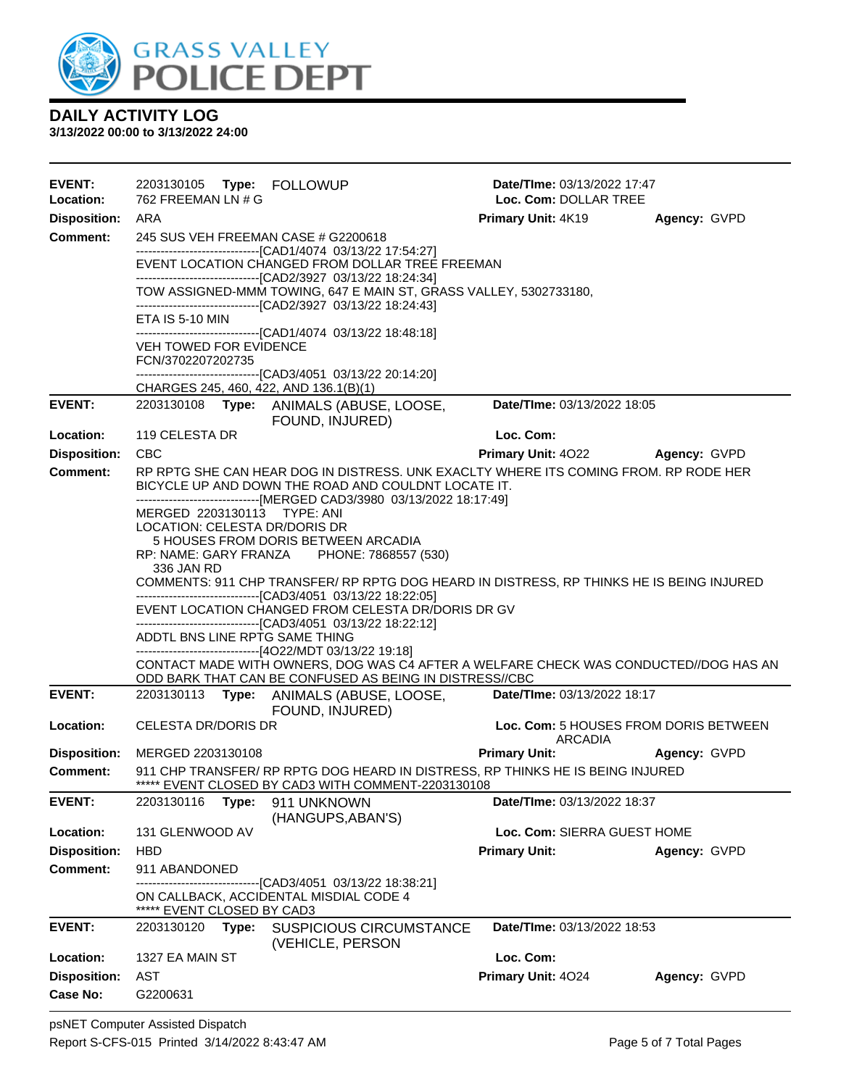

| <b>EVENT:</b><br>Location: | 762 FREEMAN LN # G                                                                                                                                                                                                    |       |                                                                                                                                                                                                                     | Date/TIme: 03/13/2022 17:47<br>Loc. Com: DOLLAR TREE |              |  |  |
|----------------------------|-----------------------------------------------------------------------------------------------------------------------------------------------------------------------------------------------------------------------|-------|---------------------------------------------------------------------------------------------------------------------------------------------------------------------------------------------------------------------|------------------------------------------------------|--------------|--|--|
| <b>Disposition:</b>        | ARA                                                                                                                                                                                                                   |       |                                                                                                                                                                                                                     | Primary Unit: 4K19<br>Agency: GVPD                   |              |  |  |
| <b>Comment:</b>            | 245 SUS VEH FREEMAN CASE # G2200618<br>------------------------------[CAD1/4074_03/13/22 17:54:27]<br>EVENT LOCATION CHANGED FROM DOLLAR TREE FREEMAN                                                                 |       |                                                                                                                                                                                                                     |                                                      |              |  |  |
|                            |                                                                                                                                                                                                                       |       |                                                                                                                                                                                                                     |                                                      |              |  |  |
|                            | -------------------------------[CAD2/3927 03/13/22 18:24:34]<br>TOW ASSIGNED-MMM TOWING, 647 E MAIN ST, GRASS VALLEY, 5302733180,<br>--------------------------------[CAD2/3927 03/13/22 18:24:43]<br>ETA IS 5-10 MIN |       |                                                                                                                                                                                                                     |                                                      |              |  |  |
|                            |                                                                                                                                                                                                                       |       |                                                                                                                                                                                                                     |                                                      |              |  |  |
|                            | -------------------------------[CAD1/4074 03/13/22 18:48:18]<br><b>VEH TOWED FOR EVIDENCE</b><br>FCN/3702207202735                                                                                                    |       |                                                                                                                                                                                                                     |                                                      |              |  |  |
|                            |                                                                                                                                                                                                                       |       | --------------------------------[CAD3/4051_03/13/22 20:14:20]                                                                                                                                                       |                                                      |              |  |  |
| <b>EVENT:</b>              | 2203130108                                                                                                                                                                                                            |       | CHARGES 245, 460, 422, AND 136.1(B)(1)<br>Type: ANIMALS (ABUSE, LOOSE,<br>FOUND, INJURED)                                                                                                                           | Date/TIme: 03/13/2022 18:05                          |              |  |  |
| Location:                  | 119 CELESTA DR                                                                                                                                                                                                        |       |                                                                                                                                                                                                                     | Loc. Com:                                            |              |  |  |
| <b>Disposition:</b>        | <b>CBC</b>                                                                                                                                                                                                            |       |                                                                                                                                                                                                                     | <b>Primary Unit: 4022</b>                            | Agency: GVPD |  |  |
| <b>Comment:</b>            |                                                                                                                                                                                                                       |       | RP RPTG SHE CAN HEAR DOG IN DISTRESS. UNK EXACLTY WHERE ITS COMING FROM. RP RODE HER<br>BICYCLE UP AND DOWN THE ROAD AND COULDNT LOCATE IT.<br>------------------------------[MERGED CAD3/3980 03/13/2022 18:17:49] |                                                      |              |  |  |
|                            | MERGED 2203130113 TYPE: ANI                                                                                                                                                                                           |       |                                                                                                                                                                                                                     |                                                      |              |  |  |
|                            | <b>LOCATION: CELESTA DR/DORIS DR</b>                                                                                                                                                                                  |       |                                                                                                                                                                                                                     |                                                      |              |  |  |
|                            |                                                                                                                                                                                                                       |       | 5 HOUSES FROM DORIS BETWEEN ARCADIA<br>RP: NAME: GARY FRANZA PHONE: 7868557 (530)                                                                                                                                   |                                                      |              |  |  |
|                            | 336 JAN RD                                                                                                                                                                                                            |       |                                                                                                                                                                                                                     |                                                      |              |  |  |
|                            |                                                                                                                                                                                                                       |       | COMMENTS: 911 CHP TRANSFER/ RP RPTG DOG HEARD IN DISTRESS, RP THINKS HE IS BEING INJURED                                                                                                                            |                                                      |              |  |  |
|                            | -------------------------------[CAD3/4051 03/13/22 18:22:05]<br>EVENT LOCATION CHANGED FROM CELESTA DR/DORIS DR GV                                                                                                    |       |                                                                                                                                                                                                                     |                                                      |              |  |  |
|                            | -------------------------------[CAD3/4051 03/13/22 18:22:12]<br>ADDTL BNS LINE RPTG SAME THING                                                                                                                        |       |                                                                                                                                                                                                                     |                                                      |              |  |  |
|                            |                                                                                                                                                                                                                       |       | -------------------------------[4O22/MDT 03/13/22 19:18]                                                                                                                                                            |                                                      |              |  |  |
|                            |                                                                                                                                                                                                                       |       | CONTACT MADE WITH OWNERS, DOG WAS C4 AFTER A WELFARE CHECK WAS CONDUCTED//DOG HAS AN                                                                                                                                |                                                      |              |  |  |
| <b>EVENT:</b>              |                                                                                                                                                                                                                       |       | ODD BARK THAT CAN BE CONFUSED AS BEING IN DISTRESS//CBC<br>2203130113 Type: ANIMALS (ABUSE, LOOSE,                                                                                                                  | Date/TIme: 03/13/2022 18:17                          |              |  |  |
|                            |                                                                                                                                                                                                                       |       | FOUND, INJURED)                                                                                                                                                                                                     |                                                      |              |  |  |
| Location:                  | <b>CELESTA DR/DORIS DR</b>                                                                                                                                                                                            |       |                                                                                                                                                                                                                     | Loc. Com: 5 HOUSES FROM DORIS BETWEEN<br>ARCADIA     |              |  |  |
| <b>Disposition:</b>        | MERGED 2203130108                                                                                                                                                                                                     |       |                                                                                                                                                                                                                     | <b>Primary Unit:</b>                                 | Agency: GVPD |  |  |
| <b>Comment:</b>            |                                                                                                                                                                                                                       |       | 911 CHP TRANSFER/ RP RPTG DOG HEARD IN DISTRESS, RP THINKS HE IS BEING INJURED                                                                                                                                      |                                                      |              |  |  |
| <b>EVENT:</b>              | 2203130116                                                                                                                                                                                                            | Type: | ***** EVENT CLOSED BY CAD3 WITH COMMENT-2203130108<br>911 UNKNOWN                                                                                                                                                   | Date/TIme: 03/13/2022 18:37                          |              |  |  |
|                            |                                                                                                                                                                                                                       |       | (HANGUPS, ABAN'S)                                                                                                                                                                                                   |                                                      |              |  |  |
| Location:                  | 131 GLENWOOD AV                                                                                                                                                                                                       |       |                                                                                                                                                                                                                     | Loc. Com: SIERRA GUEST HOME                          |              |  |  |
| <b>Disposition:</b>        | <b>HBD</b>                                                                                                                                                                                                            |       |                                                                                                                                                                                                                     | <b>Primary Unit:</b>                                 | Agency: GVPD |  |  |
| Comment:                   | 911 ABANDONED                                                                                                                                                                                                         |       |                                                                                                                                                                                                                     |                                                      |              |  |  |
|                            | ***** EVENT CLOSED BY CAD3                                                                                                                                                                                            |       | -------------------------------[CAD3/4051_03/13/22 18:38:21]<br>ON CALLBACK, ACCIDENTAL MISDIAL CODE 4                                                                                                              |                                                      |              |  |  |
| <b>EVENT:</b>              | 2203130120                                                                                                                                                                                                            | Type: | <b>SUSPICIOUS CIRCUMSTANCE</b><br>(VEHICLE, PERSON                                                                                                                                                                  | Date/TIme: 03/13/2022 18:53                          |              |  |  |
| Location:                  | 1327 EA MAIN ST                                                                                                                                                                                                       |       |                                                                                                                                                                                                                     | Loc. Com:                                            |              |  |  |
| <b>Disposition:</b>        | <b>AST</b>                                                                                                                                                                                                            |       |                                                                                                                                                                                                                     | Primary Unit: 4024                                   | Agency: GVPD |  |  |
| <b>Case No:</b>            | G2200631                                                                                                                                                                                                              |       |                                                                                                                                                                                                                     |                                                      |              |  |  |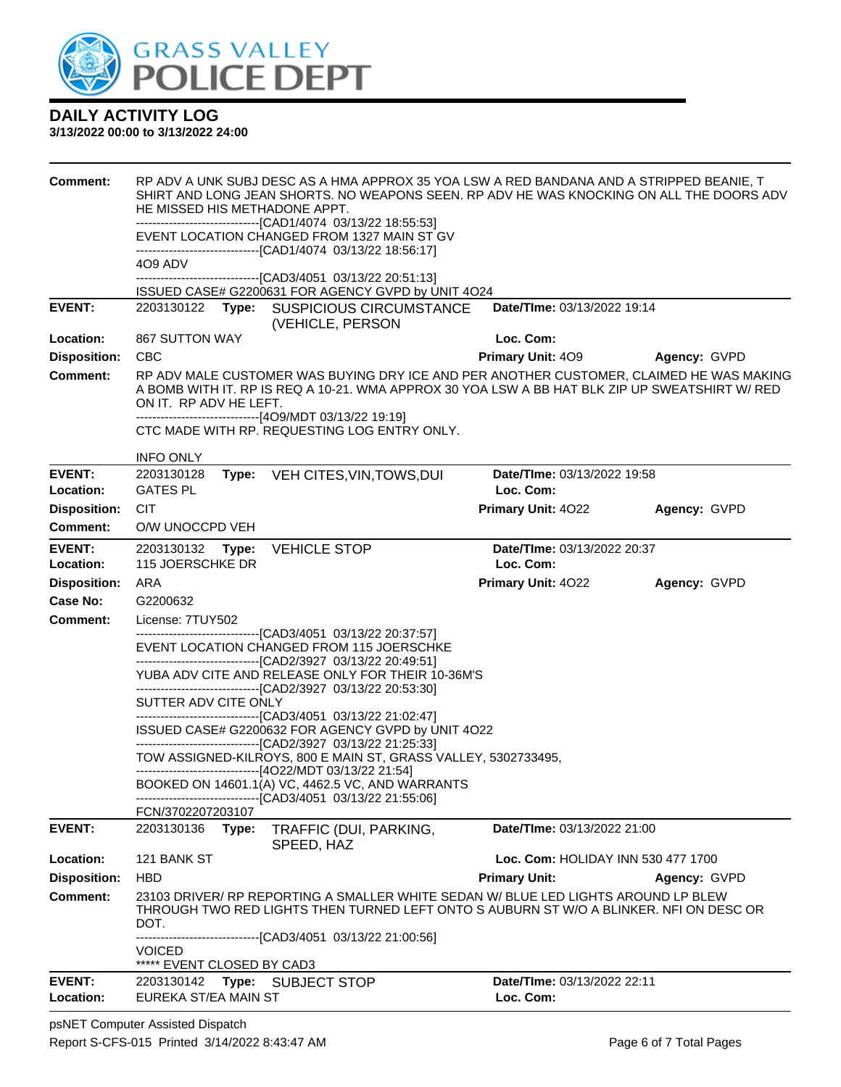

#### **3/13/2022 00:00 to 3/13/2022 24:00**

| <b>Comment:</b>            | RP ADV A UNK SUBJ DESC AS A HMA APPROX 35 YOA LSW A RED BANDANA AND A STRIPPED BEANIE, T<br>SHIRT AND LONG JEAN SHORTS. NO WEAPONS SEEN. RP ADV HE WAS KNOCKING ON ALL THE DOORS ADV<br>HE MISSED HIS METHADONE APPT.<br>--------------------------------[CAD1/4074 03/13/22 18:55:53]<br>EVENT LOCATION CHANGED FROM 1327 MAIN ST GV<br>-------------------------------[CAD1/4074 03/13/22 18:56:17] |                                                                                                                                                                              |                                          |              |  |  |
|----------------------------|-------------------------------------------------------------------------------------------------------------------------------------------------------------------------------------------------------------------------------------------------------------------------------------------------------------------------------------------------------------------------------------------------------|------------------------------------------------------------------------------------------------------------------------------------------------------------------------------|------------------------------------------|--------------|--|--|
|                            | 4O9 ADV                                                                                                                                                                                                                                                                                                                                                                                               |                                                                                                                                                                              |                                          |              |  |  |
|                            |                                                                                                                                                                                                                                                                                                                                                                                                       | -------------------------------[CAD3/4051_03/13/22 20:51:13]<br>ISSUED CASE# G2200631 FOR AGENCY GVPD by UNIT 4O24                                                           |                                          |              |  |  |
| <b>EVENT:</b>              | 2203130122                                                                                                                                                                                                                                                                                                                                                                                            | Type: SUSPICIOUS CIRCUMSTANCE<br>(VEHICLE, PERSON                                                                                                                            | Date/TIme: 03/13/2022 19:14              |              |  |  |
| Location:                  | <b>867 SUTTON WAY</b>                                                                                                                                                                                                                                                                                                                                                                                 |                                                                                                                                                                              | Loc. Com:                                |              |  |  |
| <b>Disposition:</b>        | <b>CBC</b>                                                                                                                                                                                                                                                                                                                                                                                            |                                                                                                                                                                              | <b>Primary Unit: 409</b>                 | Agency: GVPD |  |  |
| <b>Comment:</b>            | RP ADV MALE CUSTOMER WAS BUYING DRY ICE AND PER ANOTHER CUSTOMER, CLAIMED HE WAS MAKING<br>A BOMB WITH IT. RP IS REQ A 10-21. WMA APPROX 30 YOA LSW A BB HAT BLK ZIP UP SWEATSHIRT W/ RED<br>ON IT. RP ADV HE LEFT.<br>--------------------------------[4O9/MDT 03/13/22 19:19]                                                                                                                       |                                                                                                                                                                              |                                          |              |  |  |
|                            |                                                                                                                                                                                                                                                                                                                                                                                                       | CTC MADE WITH RP. REQUESTING LOG ENTRY ONLY.                                                                                                                                 |                                          |              |  |  |
|                            | <b>INFO ONLY</b>                                                                                                                                                                                                                                                                                                                                                                                      |                                                                                                                                                                              |                                          |              |  |  |
| <b>EVENT:</b>              | 2203130128<br>Type:                                                                                                                                                                                                                                                                                                                                                                                   | VEH CITES, VIN, TOWS, DUI                                                                                                                                                    | Date/TIme: 03/13/2022 19:58              |              |  |  |
| Location:                  | <b>GATES PL</b>                                                                                                                                                                                                                                                                                                                                                                                       |                                                                                                                                                                              | Loc. Com:                                |              |  |  |
| <b>Disposition:</b>        | <b>CIT</b>                                                                                                                                                                                                                                                                                                                                                                                            |                                                                                                                                                                              | Primary Unit: 4022                       | Agency: GVPD |  |  |
| Comment:                   | O/W UNOCCPD VEH                                                                                                                                                                                                                                                                                                                                                                                       |                                                                                                                                                                              |                                          |              |  |  |
| <b>EVENT:</b><br>Location: | 2203130132 Type:<br>115 JOERSCHKE DR                                                                                                                                                                                                                                                                                                                                                                  | <b>VEHICLE STOP</b>                                                                                                                                                          | Date/TIme: 03/13/2022 20:37<br>Loc. Com: |              |  |  |
| <b>Disposition:</b>        | ARA                                                                                                                                                                                                                                                                                                                                                                                                   |                                                                                                                                                                              | Primary Unit: 4022                       | Agency: GVPD |  |  |
| <b>Case No:</b>            | G2200632                                                                                                                                                                                                                                                                                                                                                                                              |                                                                                                                                                                              |                                          |              |  |  |
| Comment:                   | License: 7TUY502                                                                                                                                                                                                                                                                                                                                                                                      |                                                                                                                                                                              |                                          |              |  |  |
|                            |                                                                                                                                                                                                                                                                                                                                                                                                       | ---------------------------------[CAD3/4051 03/13/22 20:37:57]<br>EVENT LOCATION CHANGED FROM 115 JOERSCHKE<br>-------------------------------[CAD2/3927 03/13/22 20:49:51]  |                                          |              |  |  |
|                            |                                                                                                                                                                                                                                                                                                                                                                                                       | YUBA ADV CITE AND RELEASE ONLY FOR THEIR 10-36M'S<br>--------------------------------[CAD2/3927 03/13/22 20:53:30]                                                           |                                          |              |  |  |
|                            | SUTTER ADV CITE ONLY                                                                                                                                                                                                                                                                                                                                                                                  |                                                                                                                                                                              |                                          |              |  |  |
|                            | -------------------------------[CAD3/4051 03/13/22 21:02:47]<br>ISSUED CASE# G2200632 FOR AGENCY GVPD by UNIT 4O22<br>-------------------------------[CAD2/3927 03/13/22 21:25:33]<br>TOW ASSIGNED-KILROYS, 800 E MAIN ST, GRASS VALLEY, 5302733495,<br>-------------------------------[4O22/MDT 03/13/22 21:54]                                                                                      |                                                                                                                                                                              |                                          |              |  |  |
|                            |                                                                                                                                                                                                                                                                                                                                                                                                       |                                                                                                                                                                              |                                          |              |  |  |
|                            |                                                                                                                                                                                                                                                                                                                                                                                                       | BOOKED ON 14601.1(A) VC, 4462.5 VC, AND WARRANTS<br>-------------------------------[CAD3/4051 03/13/22 21:55:06]                                                             |                                          |              |  |  |
|                            | FCN/3702207203107                                                                                                                                                                                                                                                                                                                                                                                     |                                                                                                                                                                              |                                          |              |  |  |
| <b>EVENT:</b>              | 2203130136<br>Type:                                                                                                                                                                                                                                                                                                                                                                                   | TRAFFIC (DUI, PARKING,<br>SPEED, HAZ                                                                                                                                         | Date/TIme: 03/13/2022 21:00              |              |  |  |
| Location:                  | 121 BANK ST                                                                                                                                                                                                                                                                                                                                                                                           |                                                                                                                                                                              | Loc. Com: HOLIDAY INN 530 477 1700       |              |  |  |
| <b>Disposition:</b>        | <b>HBD</b>                                                                                                                                                                                                                                                                                                                                                                                            |                                                                                                                                                                              | <b>Primary Unit:</b>                     | Agency: GVPD |  |  |
| <b>Comment:</b>            | DOT.                                                                                                                                                                                                                                                                                                                                                                                                  | 23103 DRIVER/ RP REPORTING A SMALLER WHITE SEDAN W/ BLUE LED LIGHTS AROUND LP BLEW<br>THROUGH TWO RED LIGHTS THEN TURNED LEFT ONTO S AUBURN ST W/O A BLINKER. NFI ON DESC OR |                                          |              |  |  |
|                            |                                                                                                                                                                                                                                                                                                                                                                                                       | -------------------------------[CAD3/4051 03/13/22 21:00:56]                                                                                                                 |                                          |              |  |  |
|                            | <b>VOICED</b><br>***** EVENT CLOSED BY CAD3                                                                                                                                                                                                                                                                                                                                                           |                                                                                                                                                                              |                                          |              |  |  |
| <b>EVENT:</b><br>Location: | 2203130142 Type: SUBJECT STOP<br>EUREKA ST/EA MAIN ST                                                                                                                                                                                                                                                                                                                                                 |                                                                                                                                                                              | Date/TIme: 03/13/2022 22:11<br>Loc. Com: |              |  |  |

psNET Computer Assisted Dispatch Report S-CFS-015 Printed 3/14/2022 8:43:47 AM Page 6 of 7 Total Pages